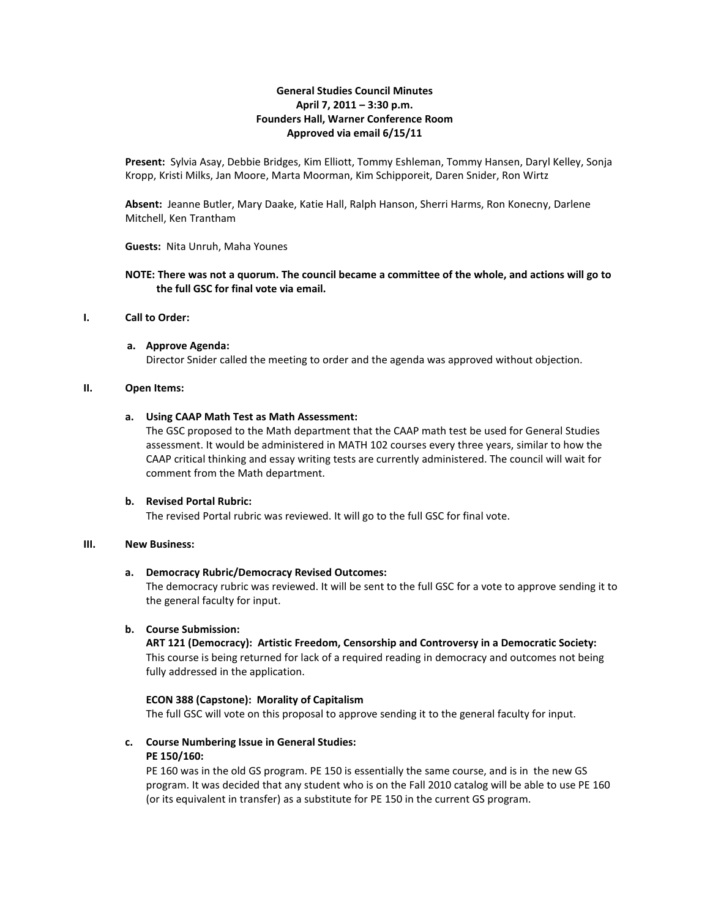# **General Studies Council Minutes April 7, 2011 – 3:30 p.m. Founders Hall, Warner Conference Room Approved via email 6/15/11**

**Present:** Sylvia Asay, Debbie Bridges, Kim Elliott, Tommy Eshleman, Tommy Hansen, Daryl Kelley, Sonja Kropp, Kristi Milks, Jan Moore, Marta Moorman, Kim Schipporeit, Daren Snider, Ron Wirtz

**Absent:** Jeanne Butler, Mary Daake, Katie Hall, Ralph Hanson, Sherri Harms, Ron Konecny, Darlene Mitchell, Ken Trantham

**Guests:** Nita Unruh, Maha Younes

### **NOTE: There was not a quorum. The council became a committee of the whole, and actions will go to the full GSC for final vote via email.**

#### **I. Call to Order:**

**a. Approve Agenda:** Director Snider called the meeting to order and the agenda was approved without objection.

#### **II. Open Items:**

#### **a. Using CAAP Math Test as Math Assessment:**

The GSC proposed to the Math department that the CAAP math test be used for General Studies assessment. It would be administered in MATH 102 courses every three years, similar to how the CAAP critical thinking and essay writing tests are currently administered. The council will wait for comment from the Math department.

#### **b. Revised Portal Rubric:**

The revised Portal rubric was reviewed. It will go to the full GSC for final vote.

# **III. New Business:**

#### **a. Democracy Rubric/Democracy Revised Outcomes:**

The democracy rubric was reviewed. It will be sent to the full GSC for a vote to approve sending it to the general faculty for input.

#### **b. Course Submission:**

## **ART 121 (Democracy): Artistic Freedom, Censorship and Controversy in a Democratic Society:** This course is being returned for lack of a required reading in democracy and outcomes not being

fully addressed in the application.

#### **ECON 388 (Capstone): Morality of Capitalism**

The full GSC will vote on this proposal to approve sending it to the general faculty for input.

# **c. Course Numbering Issue in General Studies:**

#### **PE 150/160:**

PE 160 was in the old GS program. PE 150 is essentially the same course, and is in the new GS program. It was decided that any student who is on the Fall 2010 catalog will be able to use PE 160 (or its equivalent in transfer) as a substitute for PE 150 in the current GS program.